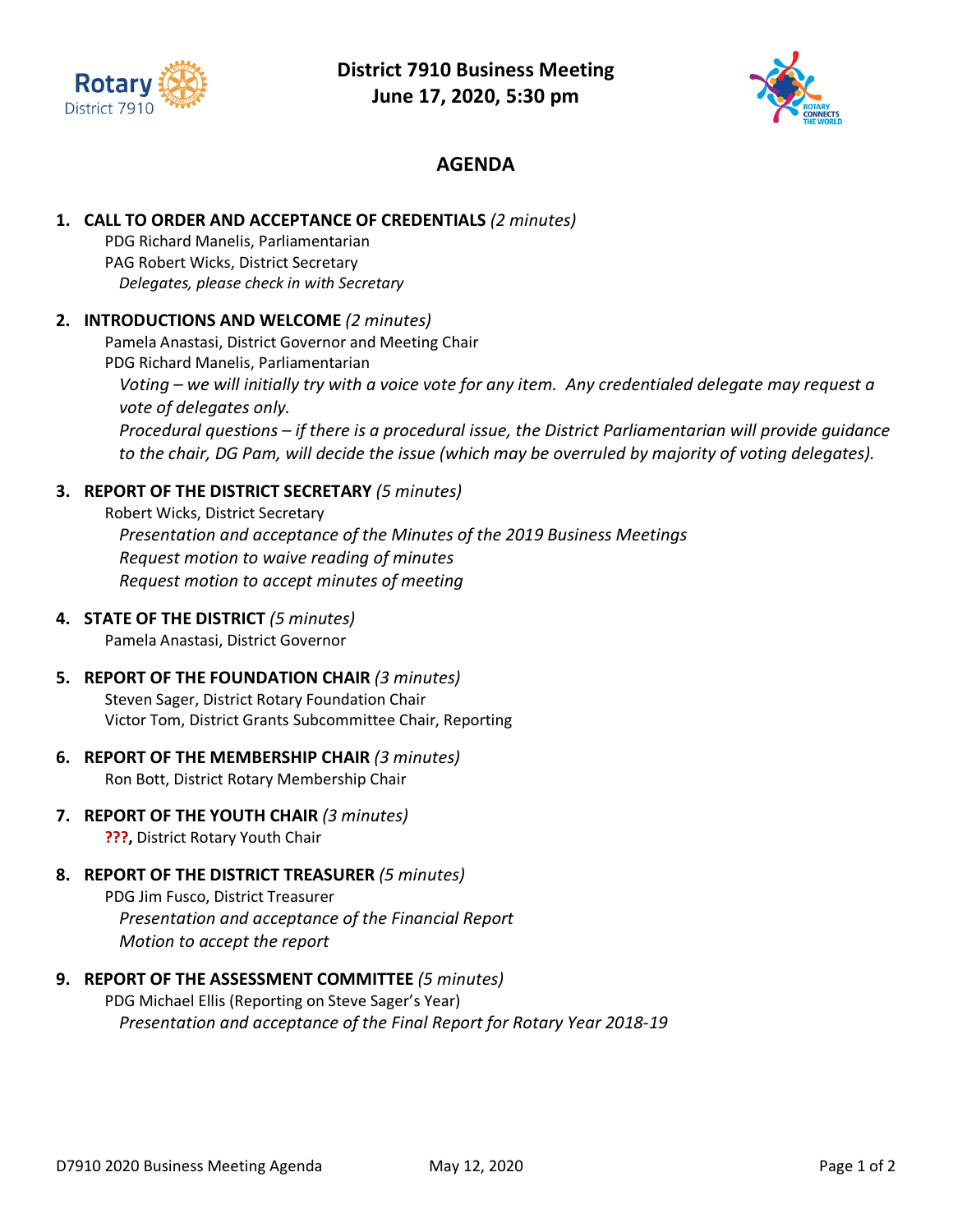



## **AGENDA**

### **1. CALL TO ORDER AND ACCEPTANCE OF CREDENTIALS** *(2 minutes)*

PDG Richard Manelis, Parliamentarian PAG Robert Wicks, District Secretary *Delegates, please check in with Secretary*

### **2. INTRODUCTIONS AND WELCOME** *(2 minutes)*

Pamela Anastasi, District Governor and Meeting Chair

PDG Richard Manelis, Parliamentarian *Voting – we will initially try with a voice vote for any item. Any credentialed delegate may request a vote of delegates only. Procedural questions – if there is a procedural issue, the District Parliamentarian will provide guidance to the chair, DG Pam, will decide the issue (which may be overruled by majority of voting delegates).*

### **3. REPORT OF THE DISTRICT SECRETARY** *(5 minutes)*

Robert Wicks, District Secretary *Presentation and acceptance of the Minutes of the 2019 Business Meetings Request motion to waive reading of minutes Request motion to accept minutes of meeting*

#### **4. STATE OF THE DISTRICT** *(5 minutes)*

Pamela Anastasi, District Governor

- **5. REPORT OF THE FOUNDATION CHAIR** *(3 minutes)* Steven Sager, District Rotary Foundation Chair Victor Tom, District Grants Subcommittee Chair, Reporting
- **6. REPORT OF THE MEMBERSHIP CHAIR** *(3 minutes)* Ron Bott, District Rotary Membership Chair
- **7. REPORT OF THE YOUTH CHAIR** *(3 minutes)* **???,** District Rotary Youth Chair
- **8. REPORT OF THE DISTRICT TREASURER** *(5 minutes)*

PDG Jim Fusco, District Treasurer *Presentation and acceptance of the Financial Report Motion to accept the report*

**9. REPORT OF THE ASSESSMENT COMMITTEE** *(5 minutes)* PDG Michael Ellis (Reporting on Steve Sager's Year)

*Presentation and acceptance of the Final Report for Rotary Year 2018-19*